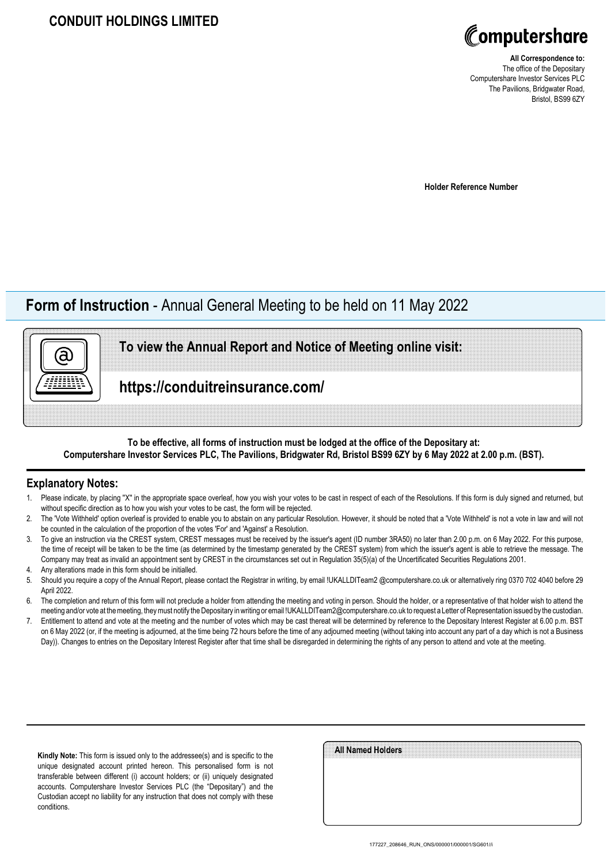

**All Correspondence to:** The office of the Depositary Computershare Investor Services PLC The Pavilions, Bridgwater Road, Bristol, BS99 6ZY

**Holder Reference Number**

# **Form of Instruction** - Annual General Meeting to be held on 11 May 2022

**To view the Annual Report and Notice of Meeting online visit:**

**https://conduitreinsurance.com/**

## **To be effective, all forms of instruction must be lodged at the office of the Depositary at: Computershare Investor Services PLC, The Pavilions, Bridgwater Rd, Bristol BS99 6ZY by 6 May 2022 at 2.00 p.m. (BST).**

### **Explanatory Notes:**

ā)

- 1. Please indicate, by placing "X" in the appropriate space overleaf, how you wish your votes to be cast in respect of each of the Resolutions. If this form is duly signed and returned, but without specific direction as to how you wish your votes to be cast, the form will be rejected.
- 2. The 'Vote Withheld' option overleaf is provided to enable you to abstain on any particular Resolution. However, it should be noted that a 'Vote Withheld' is not a vote in law and will not be counted in the calculation of the proportion of the votes 'For' and 'Against' a Resolution.
- 3. To give an instruction via the CREST system, CREST messages must be received by the issuer's agent (ID number 3RA50) no later than 2.00 p.m. on 6 May 2022. For this purpose, the time of receipt will be taken to be the time (as determined by the timestamp generated by the CREST system) from which the issuer's agent is able to retrieve the message. The Company may treat as invalid an appointment sent by CREST in the circumstances set out in Regulation 35(5)(a) of the Uncertificated Securities Regulations 2001.
- 4. Any alterations made in this form should be initialled.
- 5. Should you require a copy of the Annual Report, please contact the Registrar in writing, by email !UKALLDITeam2 @computershare.co.uk or alternatively ring 0370 702 4040 before 29 April 2022.
- 6. The completion and return of this form will not preclude a holder from attending the meeting and voting in person. Should the holder, or a representative of that holder wish to attend the meeting and/or vote at the meeting, they must notify the Depositary in writing or email !UKALLDITeam2@computershare.co.uk to request a Letter of Representation issued by the custodian.
- 7. Entitlement to attend and vote at the meeting and the number of votes which may be cast thereat will be determined by reference to the Depositary Interest Register at 6.00 p.m. BST on 6 May 2022 (or, if the meeting is adjourned, at the time being 72 hours before the time of any adjourned meeting (without taking into account any part of a day which is not a Business Day)). Changes to entries on the Depositary Interest Register after that time shall be disregarded in determining the rights of any person to attend and vote at the meeting.

**Kindly Note:** This form is issued only to the addressee(s) and is specific to the unique designated account printed hereon. This personalised form is not transferable between different (i) account holders; or (ii) uniquely designated accounts. Computershare Investor Services PLC (the "Depositary") and the Custodian accept no liability for any instruction that does not comply with these conditions.

| All Named Holders |  |  |
|-------------------|--|--|
|                   |  |  |
|                   |  |  |
|                   |  |  |
|                   |  |  |
|                   |  |  |